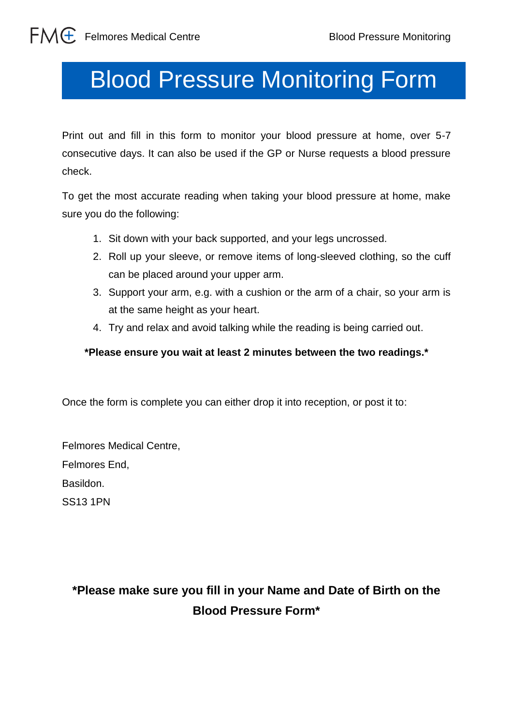## Blood Pressure Monitoring Form Blood Pressure Monitoring Form

Print out and fill in this form to monitor your blood pressure at home, over 5-7 consecutive days. It can also be used if the GP or Nurse requests a blood pressure check.

To get the most accurate reading when taking your blood pressure at home, make sure you do the following:

- 1. Sit down with your back supported, and your legs uncrossed.
- 2. Roll up your sleeve, or remove items of long-sleeved clothing, so the cuff can be placed around your upper arm.
- 3. Support your arm, e.g. with a cushion or the arm of a chair, so your arm is at the same height as your heart.
- 4. Try and relax and avoid talking while the reading is being carried out.

## **\*Please ensure you wait at least 2 minutes between the two readings.\***

Once the form is complete you can either drop it into reception, or post it to:

Felmores Medical Centre, Felmores End, Basildon. SS13 1PN

## **\*Please make sure you fill in your Name and Date of Birth on the Blood Pressure Form\***